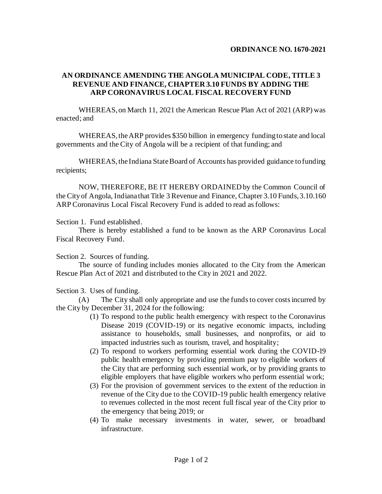## **ORDINANCE NO. 1670-2021**

## **AN ORDINANCE AMENDING THE ANGOLA MUNICIPAL CODE, TITLE 3 REVENUE AND FINANCE, CHAPTER 3.10 FUNDS BY ADDING THE ARP CORONAVIRUS LOCAL FISCAL RECOVERY FUND**

WHEREAS, on March 11, 2021 the American Rescue Plan Act of 2021 (ARP) was enacted; and

WHEREAS, the ARP provides \$350 billion in emergency funding to state and local governments and the City of Angola will be a recipient of that funding; and

WHEREAS, the Indiana State Board of Accounts has provided guidance to funding recipients;

NOW, THEREFORE, BE IT HEREBY ORDAINED by the Common Council of the City of Angola, Indiana that Title 3 Revenue and Finance, Chapter 3.10 Funds, 3.10.160 ARP Coronavirus Local Fiscal Recovery Fund is added to read as follows:

Section 1. Fund established.

There is hereby established a fund to be known as the ARP Coronavirus Local Fiscal Recovery Fund.

Section 2. Sources of funding.

The source of funding includes monies allocated to the City from the American Rescue Plan Act of 2021 and distributed to the City in 2021 and 2022.

Section 3. Uses of funding.

(A) The City shall only appropriate and use the funds to cover costs incurred by the City by December 31, 2024 for the following:

- (1) To respond to the public health emergency with respect to the Coronavirus Disease 2019 (COVID-19) or its negative economic impacts, including assistance to households, small businesses, and nonprofits, or aid to impacted industries such as tourism, travel, and hospitality;
- (2) To respond to workers performing essential work during the COVID-19 public health emergency by providing premium pay to eligible workers of the City that are performing such essential work, or by providing grants to eligible employers that have eligible workers who perform essential work;
- (3) For the provision of government services to the extent of the reduction in revenue of the City due to the COVID-19 public health emergency relative to revenues collected in the most recent full fiscal year of the City prior to the emergency that being 2019; or
- (4) To make necessary investments in water, sewer, or broadband infrastructure.